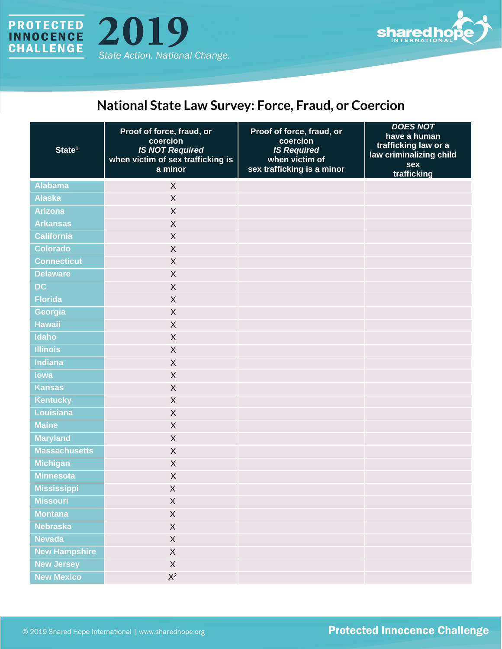





## **National State Law Survey: Force, Fraud, or Coercion**

| State <sup>1</sup>   | Proof of force, fraud, or<br>coercion<br><b>IS NOT Required</b><br>when victim of sex trafficking is<br>a minor | Proof of force, fraud, or<br>coercion<br><b>IS Required</b><br>when victim of<br>sex trafficking is a minor | <b>DOES NOT</b><br>have a human<br>trafficking law or a<br>law criminalizing child<br>sex<br>trafficking |
|----------------------|-----------------------------------------------------------------------------------------------------------------|-------------------------------------------------------------------------------------------------------------|----------------------------------------------------------------------------------------------------------|
| <b>Alabama</b>       | $\mathsf X$                                                                                                     |                                                                                                             |                                                                                                          |
| <b>Alaska</b>        | X                                                                                                               |                                                                                                             |                                                                                                          |
| <b>Arizona</b>       | $\sf X$                                                                                                         |                                                                                                             |                                                                                                          |
| <b>Arkansas</b>      | $\sf X$                                                                                                         |                                                                                                             |                                                                                                          |
| <b>California</b>    | $\sf X$                                                                                                         |                                                                                                             |                                                                                                          |
| <b>Colorado</b>      | X                                                                                                               |                                                                                                             |                                                                                                          |
| <b>Connecticut</b>   | X                                                                                                               |                                                                                                             |                                                                                                          |
| <b>Delaware</b>      | $\sf X$                                                                                                         |                                                                                                             |                                                                                                          |
| <b>DC</b>            | $\mathsf X$                                                                                                     |                                                                                                             |                                                                                                          |
| <b>Florida</b>       | $\sf X$                                                                                                         |                                                                                                             |                                                                                                          |
| Georgia              | $\sf X$                                                                                                         |                                                                                                             |                                                                                                          |
| <b>Hawaii</b>        | X                                                                                                               |                                                                                                             |                                                                                                          |
| Idaho                | X                                                                                                               |                                                                                                             |                                                                                                          |
| <b>Illinois</b>      | X                                                                                                               |                                                                                                             |                                                                                                          |
| <b>Indiana</b>       | $\sf X$                                                                                                         |                                                                                                             |                                                                                                          |
| lowa                 | $\mathsf X$                                                                                                     |                                                                                                             |                                                                                                          |
| <b>Kansas</b>        | $\sf X$                                                                                                         |                                                                                                             |                                                                                                          |
| <b>Kentucky</b>      | $\mathsf X$                                                                                                     |                                                                                                             |                                                                                                          |
| Louisiana            | $\sf X$                                                                                                         |                                                                                                             |                                                                                                          |
| <b>Maine</b>         | $\sf X$                                                                                                         |                                                                                                             |                                                                                                          |
| <b>Maryland</b>      | X                                                                                                               |                                                                                                             |                                                                                                          |
| <b>Massachusetts</b> | X                                                                                                               |                                                                                                             |                                                                                                          |
| <b>Michigan</b>      | $\mathsf X$                                                                                                     |                                                                                                             |                                                                                                          |
| <b>Minnesota</b>     | $\sf X$                                                                                                         |                                                                                                             |                                                                                                          |
| <b>Mississippi</b>   | X                                                                                                               |                                                                                                             |                                                                                                          |
| <b>Missouri</b>      | $\pmb{\times}$                                                                                                  |                                                                                                             |                                                                                                          |
| <b>Montana</b>       | $\mathsf X$                                                                                                     |                                                                                                             |                                                                                                          |
| <b>Nebraska</b>      | $\mathsf X$                                                                                                     |                                                                                                             |                                                                                                          |
| <b>Nevada</b>        | $\mathsf X$                                                                                                     |                                                                                                             |                                                                                                          |
| <b>New Hampshire</b> | $\mathsf X$                                                                                                     |                                                                                                             |                                                                                                          |
| <b>New Jersey</b>    | $\mathsf X$                                                                                                     |                                                                                                             |                                                                                                          |
| <b>New Mexico</b>    | $\mathsf{X}^2$                                                                                                  |                                                                                                             |                                                                                                          |